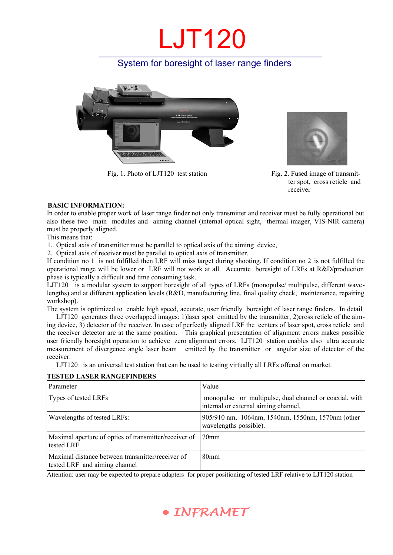## LJT120

### System for boresight of laser range finders



Fig. 1. Photo of LJT120 test station Fig. 2. Fused image of transmit-



ter spot, cross reticle and receiver

### **BASIC INFORMATION:**

In order to enable proper work of laser range finder not only transmitter and receiver must be fully operational but also these two main modules and aiming channel (internal optical sight, thermal imager, VIS-NIR camera) must be properly aligned.

This means that:

1. Optical axis of transmitter must be parallel to optical axis of the aiming device,

2. Optical axis of receiver must be parallel to optical axis of transmitter.

If condition no 1 is not fulfilled then LRF will miss target during shooting. If condition no 2 is not fulfilled the operational range will be lower or LRF will not work at all. Accurate boresight of LRFs at R&D/production phase is typically a difficult and time consuming task.

LJT120 is a modular system to support boresight of all types of LRFs (monopulse/ multipulse, different wavelengths) and at different application levels (R&D, manufacturing line, final quality check, maintenance, repairing workshop).

The system is optimized to enable high speed, accurate, user friendly boresight of laser range finders. In detail

LJT120 generates three overlapped images: 1)laser spot emitted by the transmitter, 2)cross reticle of the aiming device, 3) detector of the receiver. In case of perfectly aligned LRF the centers of laser spot, cross reticle and the receiver detector are at the same position. This graphical presentation of alignment errors makes possible user friendly boresight operation to achieve zero alignment errors. LJT120 station enables also ultra accurate measurement of divergence angle laser beam emitted by the transmitter or angular size of detector of the receiver.

LJT120 is an universal test station that can be used to testing virtually all LRFs offered on market.

### **TESTED LASER RANGEFINDERS**

| Parameter                                                                         | Value                                                                                          |  |
|-----------------------------------------------------------------------------------|------------------------------------------------------------------------------------------------|--|
| Types of tested LRFs                                                              | monopulse or multipulse, dual channel or coaxial, with<br>internal or external aiming channel, |  |
| Wavelengths of tested LRFs:                                                       | 905/910 nm, 1064nm, 1540nm, 1550nm, 1570nm (other<br>wavelengths possible).                    |  |
| Maximal aperture of optics of transmitter/receiver of<br>tested LRF               | 70 <sub>mm</sub>                                                                               |  |
| Maximal distance between transmitter/receiver of<br>tested LRF and aiming channel | 80 <sub>mm</sub>                                                                               |  |

Attention: user may be expected to prepare adapters for proper positioning of tested LRF relative to LJT120 station